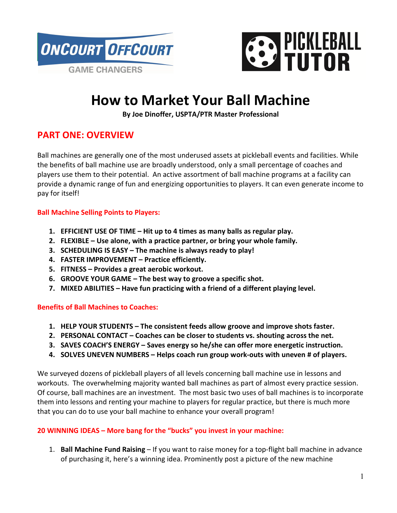



# **How to Market Your Ball Machine**

**By Joe Dinoffer, USPTA/PTR Master Professional** 

## **PART ONE: OVERVIEW**

Ball machines are generally one of the most underused assets at pickleball events and facilities. While the benefits of ball machine use are broadly understood, only a small percentage of coaches and players use them to their potential. An active assortment of ball machine programs at a facility can provide a dynamic range of fun and energizing opportunities to players. It can even generate income to pay for itself!

### **Ball Machine Selling Points to Players:**

- **1. EFFICIENT USE OF TIME Hit up to 4 times as many balls as regular play.**
- **2. FLEXIBLE Use alone, with a practice partner, or bring your whole family.**
- **3. SCHEDULING IS EASY The machine is always ready to play!**
- **4. FASTER IMPROVEMENT Practice efficiently.**
- **5. FITNESS Provides a great aerobic workout.**
- **6. GROOVE YOUR GAME The best way to groove a specific shot.**
- **7. MIXED ABILITIES Have fun practicing with a friend of a different playing level.**

### **Benefits of Ball Machines to Coaches:**

- **1. HELP YOUR STUDENTS The consistent feeds allow groove and improve shots faster.**
- **2. PERSONAL CONTACT Coaches can be closer to students vs. shouting across the net.**
- **3. SAVES COACH'S ENERGY Saves energy so he/she can offer more energetic instruction.**
- **4. SOLVES UNEVEN NUMBERS Helps coach run group work-outs with uneven # of players.**

We surveyed dozens of pickleball players of all levels concerning ball machine use in lessons and workouts. The overwhelming majority wanted ball machines as part of almost every practice session. Of course, ball machines are an investment. The most basic two uses of ball machines is to incorporate them into lessons and renting your machine to players for regular practice, but there is much more that you can do to use your ball machine to enhance your overall program!

### **20 WINNING IDEAS – More bang for the "bucks" you invest in your machine:**

1. **Ball Machine Fund Raising** – If you want to raise money for a top-flight ball machine in advance of purchasing it, here's a winning idea. Prominently post a picture of the new machine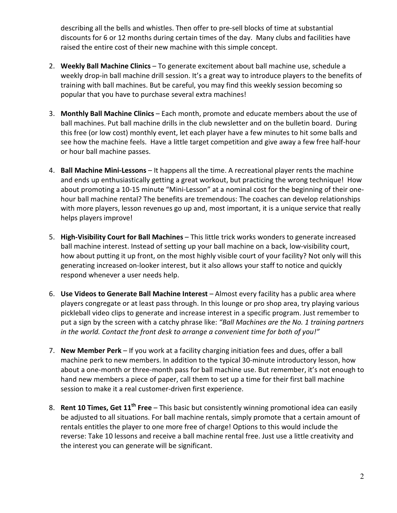describing all the bells and whistles. Then offer to pre-sell blocks of time at substantial discounts for 6 or 12 months during certain times of the day. Many clubs and facilities have raised the entire cost of their new machine with this simple concept.

- 2. **Weekly Ball Machine Clinics** To generate excitement about ball machine use, schedule a weekly drop-in ball machine drill session. It's a great way to introduce players to the benefits of training with ball machines. But be careful, you may find this weekly session becoming so popular that you have to purchase several extra machines!
- 3. **Monthly Ball Machine Clinics** Each month, promote and educate members about the use of ball machines. Put ball machine drills in the club newsletter and on the bulletin board. During this free (or low cost) monthly event, let each player have a few minutes to hit some balls and see how the machine feels. Have a little target competition and give away a few free half-hour or hour ball machine passes.
- 4. **Ball Machine Mini-Lessons**  It happens all the time. A recreational player rents the machine and ends up enthusiastically getting a great workout, but practicing the wrong technique! How about promoting a 10-15 minute "Mini-Lesson" at a nominal cost for the beginning of their onehour ball machine rental? The benefits are tremendous: The coaches can develop relationships with more players, lesson revenues go up and, most important, it is a unique service that really helps players improve!
- 5. **High-Visibility Court for Ball Machines** This little trick works wonders to generate increased ball machine interest. Instead of setting up your ball machine on a back, low-visibility court, how about putting it up front, on the most highly visible court of your facility? Not only will this generating increased on-looker interest, but it also allows your staff to notice and quickly respond whenever a user needs help.
- 6. **Use Videos to Generate Ball Machine Interest** Almost every facility has a public area where players congregate or at least pass through. In this lounge or pro shop area, try playing various pickleball video clips to generate and increase interest in a specific program. Just remember to put a sign by the screen with a catchy phrase like: *"Ball Machines are the No. 1 training partners in the world. Contact the front desk to arrange a convenient time for both of you!"*
- 7. **New Member Perk** If you work at a facility charging initiation fees and dues, offer a ball machine perk to new members. In addition to the typical 30-minute introductory lesson, how about a one-month or three-month pass for ball machine use. But remember, it's not enough to hand new members a piece of paper, call them to set up a time for their first ball machine session to make it a real customer-driven first experience.
- 8. **Rent 10 Times, Get 11th Free** This basic but consistently winning promotional idea can easily be adjusted to all situations. For ball machine rentals, simply promote that a certain amount of rentals entitles the player to one more free of charge! Options to this would include the reverse: Take 10 lessons and receive a ball machine rental free. Just use a little creativity and the interest you can generate will be significant.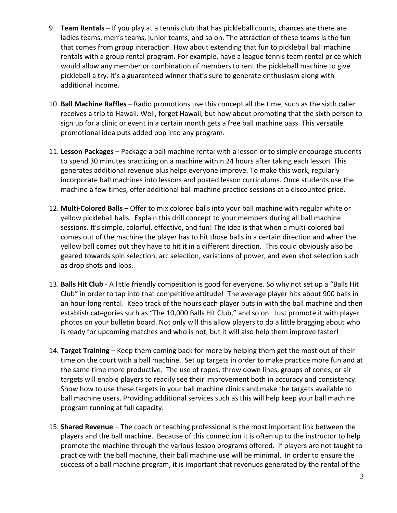- 9. **Team Rentals** If you play at a tennis club that has pickleball courts, chances are there are ladies teams, men's teams, junior teams, and so on. The attraction of these teams is the fun that comes from group interaction. How about extending that fun to pickleball ball machine rentals with a group rental program. For example, have a league tennis team rental price which would allow any member or combination of members to rent the pickleball machine to give pickleball a try. It's a guaranteed winner that's sure to generate enthusiasm along with additional income.
- 10. **Ball Machine Raffles** Radio promotions use this concept all the time, such as the sixth caller receives a trip to Hawaii. Well, forget Hawaii, but how about promoting that the sixth person to sign up for a clinic or event in a certain month gets a free ball machine pass. This versatile promotional idea puts added pop into any program.
- 11. **Lesson Packages**  Package a ball machine rental with a lesson or to simply encourage students to spend 30 minutes practicing on a machine within 24 hours after taking each lesson. This generates additional revenue plus helps everyone improve. To make this work, regularly incorporate ball machines into lessons and posted lesson curriculums. Once students use the machine a few times, offer additional ball machine practice sessions at a discounted price.
- 12. **Multi-Colored Balls** Offer to mix colored balls into your ball machine with regular white or yellow pickleball balls. Explain this drill concept to your members during all ball machine sessions. It's simple, colorful, effective, and fun! The idea is that when a multi-colored ball comes out of the machine the player has to hit those balls in a certain direction and when the yellow ball comes out they have to hit it in a different direction. This could obviously also be geared towards spin selection, arc selection, variations of power, and even shot selection such as drop shots and lobs.
- 13. **Balls Hit Club** A little friendly competition is good for everyone. So why not set up a "Balls Hit Club" in order to tap into that competitive attitude! The average player hits about 900 balls in an hour-long rental. Keep track of the hours each player puts in with the ball machine and then establish categories such as "The 10,000 Balls Hit Club," and so on. Just promote it with player photos on your bulletin board. Not only will this allow players to do a little bragging about who is ready for upcoming matches and who is not, but it will also help them improve faster!
- 14. **Target Training** Keep them coming back for more by helping them get the most out of their time on the court with a ball machine. Set up targets in order to make practice more fun and at the same time more productive. The use of ropes, throw down lines, groups of cones, or air targets will enable players to readily see their improvement both in accuracy and consistency. Show how to use these targets in your ball machine clinics and make the targets available to ball machine users. Providing additional services such as this will help keep your ball machine program running at full capacity.
- 15. **Shared Revenue** The coach or teaching professional is the most important link between the players and the ball machine. Because of this connection it is often up to the instructor to help promote the machine through the various lesson programs offered. If players are not taught to practice with the ball machine, their ball machine use will be minimal. In order to ensure the success of a ball machine program, it is important that revenues generated by the rental of the